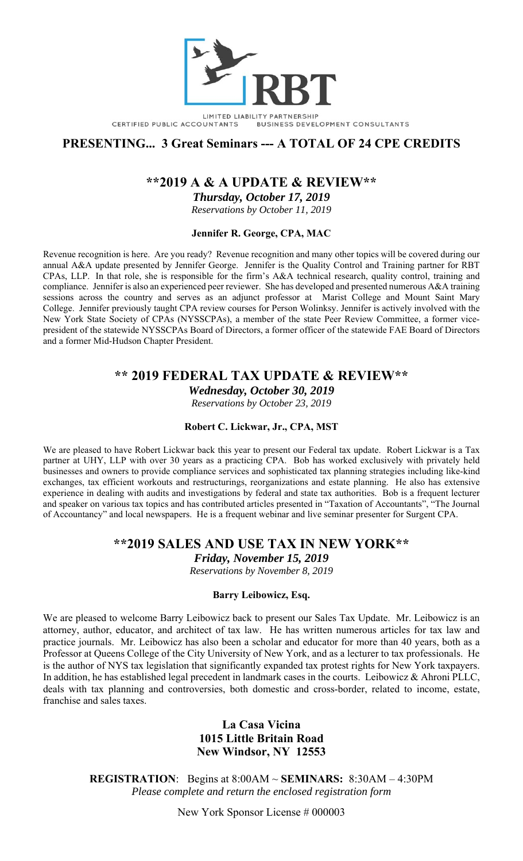

LIMITED LIABILITY PARTNERSHIP CERTIFIED PUBLIC ACCOUNTANTS BUSINESS DEVELOPMENT CONSULTANTS

# **PRESENTING... 3 Great Seminars --- A TOTAL OF 24 CPE CREDITS**

# **\*\*2019 A & A UPDATE & REVIEW\*\***

*Thursday, October 17, 2019* 

*Reservations by October 11, 2019* 

### **Jennifer R. George, CPA, MAC**

Revenue recognition is here. Are you ready? Revenue recognition and many other topics will be covered during our annual A&A update presented by Jennifer George. Jennifer is the Quality Control and Training partner for RBT CPAs, LLP. In that role, she is responsible for the firm's A&A technical research, quality control, training and compliance. Jennifer is also an experienced peer reviewer. She has developed and presented numerous A&A training sessions across the country and serves as an adjunct professor at Marist College and Mount Saint Mary College. Jennifer previously taught CPA review courses for Person Wolinksy. Jennifer is actively involved with the New York State Society of CPAs (NYSSCPAs), a member of the state Peer Review Committee, a former vicepresident of the statewide NYSSCPAs Board of Directors, a former officer of the statewide FAE Board of Directors and a former Mid-Hudson Chapter President.

# **\*\* 2019 FEDERAL TAX UPDATE & REVIEW\*\***

*Wednesday, October 30, 2019* 

*Reservations by October 23, 2019* 

#### **Robert C. Lickwar, Jr., CPA, MST**

We are pleased to have Robert Lickwar back this year to present our Federal tax update. Robert Lickwar is a Tax partner at UHY, LLP with over 30 years as a practicing CPA. Bob has worked exclusively with privately held businesses and owners to provide compliance services and sophisticated tax planning strategies including like-kind exchanges, tax efficient workouts and restructurings, reorganizations and estate planning. He also has extensive experience in dealing with audits and investigations by federal and state tax authorities. Bob is a frequent lecturer and speaker on various tax topics and has contributed articles presented in "Taxation of Accountants", "The Journal of Accountancy" and local newspapers. He is a frequent webinar and live seminar presenter for Surgent CPA.

## **\*\*2019 SALES AND USE TAX IN NEW YORK\*\***

*Friday, November 15, 2019* 

*Reservations by November 8, 2019* 

## **Barry Leibowicz, Esq.**

We are pleased to welcome Barry Leibowicz back to present our Sales Tax Update. Mr. Leibowicz is an attorney, author, educator, and architect of tax law. He has written numerous articles for tax law and practice journals. Mr. Leibowicz has also been a scholar and educator for more than 40 years, both as a Professor at Queens College of the City University of New York, and as a lecturer to tax professionals. He is the author of NYS tax legislation that significantly expanded tax protest rights for New York taxpayers. In addition, he has established legal precedent in landmark cases in the courts. Leibowicz & Ahroni PLLC, deals with tax planning and controversies, both domestic and cross-border, related to income, estate, franchise and sales taxes.

## **La Casa Vicina 1015 Little Britain Road New Windsor, NY 12553**

**REGISTRATION**: Begins at 8:00AM ~ **SEMINARS:** 8:30AM – 4:30PM *Please complete and return the enclosed registration form* 

New York Sponsor License # 000003